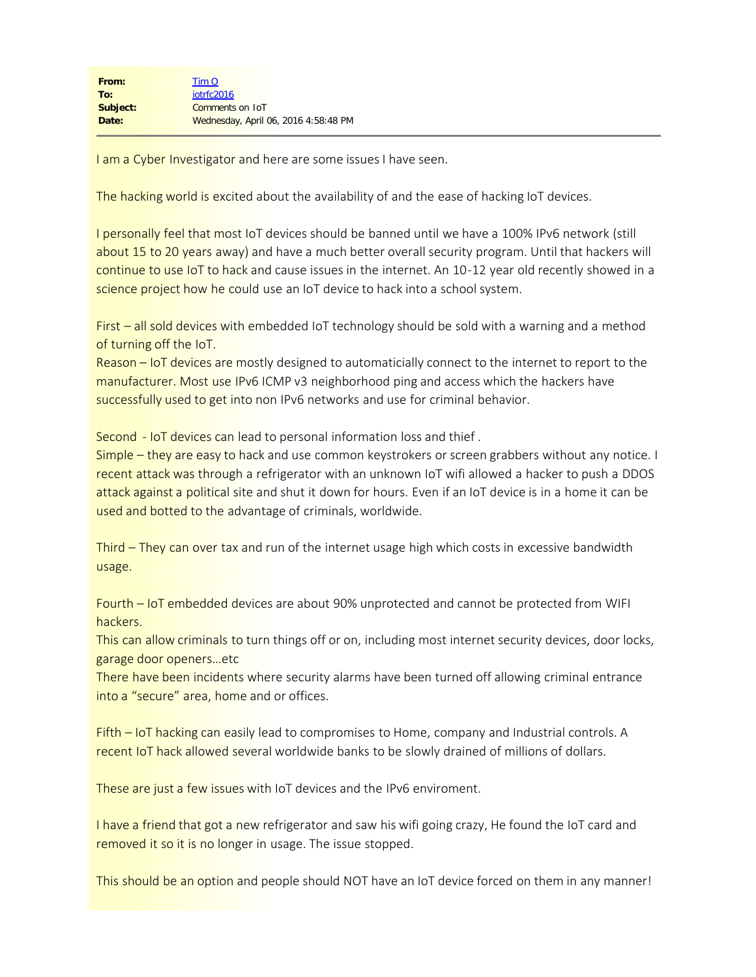I am a Cyber Investigator and here are some issues I have seen.

The hacking world is excited about the availability of and the ease of hacking IoT devices.

I personally feel that most IoT devices should be banned until we have a 100% IPv6 network (still about 15 to 20 years away) and have a much better overall security program. Until that hackers will continue to use IoT to hack and cause issues in the internet. An 10-12 year old recently showed in a science project how he could use an IoT device to hack into a school system.

First – all sold devices with embedded IoT technology should be sold with a warning and a method of turning off the IoT.

Reason – IoT devices are mostly designed to automaticially connect to the internet to report to the manufacturer. Most use IPv6 ICMP v3 neighborhood ping and access which the hackers have successfully used to get into non IPv6 networks and use for criminal behavior.

Second - IoT devices can lead to personal information loss and thief .

Simple – they are easy to hack and use common keystrokers or screen grabbers without any notice. I recent attack was through a refrigerator with an unknown IoT wifi allowed a hacker to push a DDOS attack against a political site and shut it down for hours. Even if an IoT device is in a home it can be used and botted to the advantage of criminals, worldwide.

Third – They can over tax and run of the internet usage high which costs in excessive bandwidth usage.

Fourth – IoT embedded devices are about 90% unprotected and cannot be protected from WIFI hackers.

This can allow criminals to turn things off or on, including most internet security devices, door locks, garage door openers…etc

There have been incidents where security alarms have been turned off allowing criminal entrance into a "secure" area, home and or offices.

Fifth – IoT hacking can easily lead to compromises to Home, company and Industrial controls. A **recent IoT hack allowed several worldwide banks to be slowly drained of millions of dollars.** 

These are just a few issues with IoT devices and the IPv6 enviroment.

I have a friend that got a new refrigerator and saw his wifi going crazy, He found the IoT card and removed it so it is no longer in usage. The issue stopped.

This should be an option and people should NOT have an IoT device forced on them in any manner!